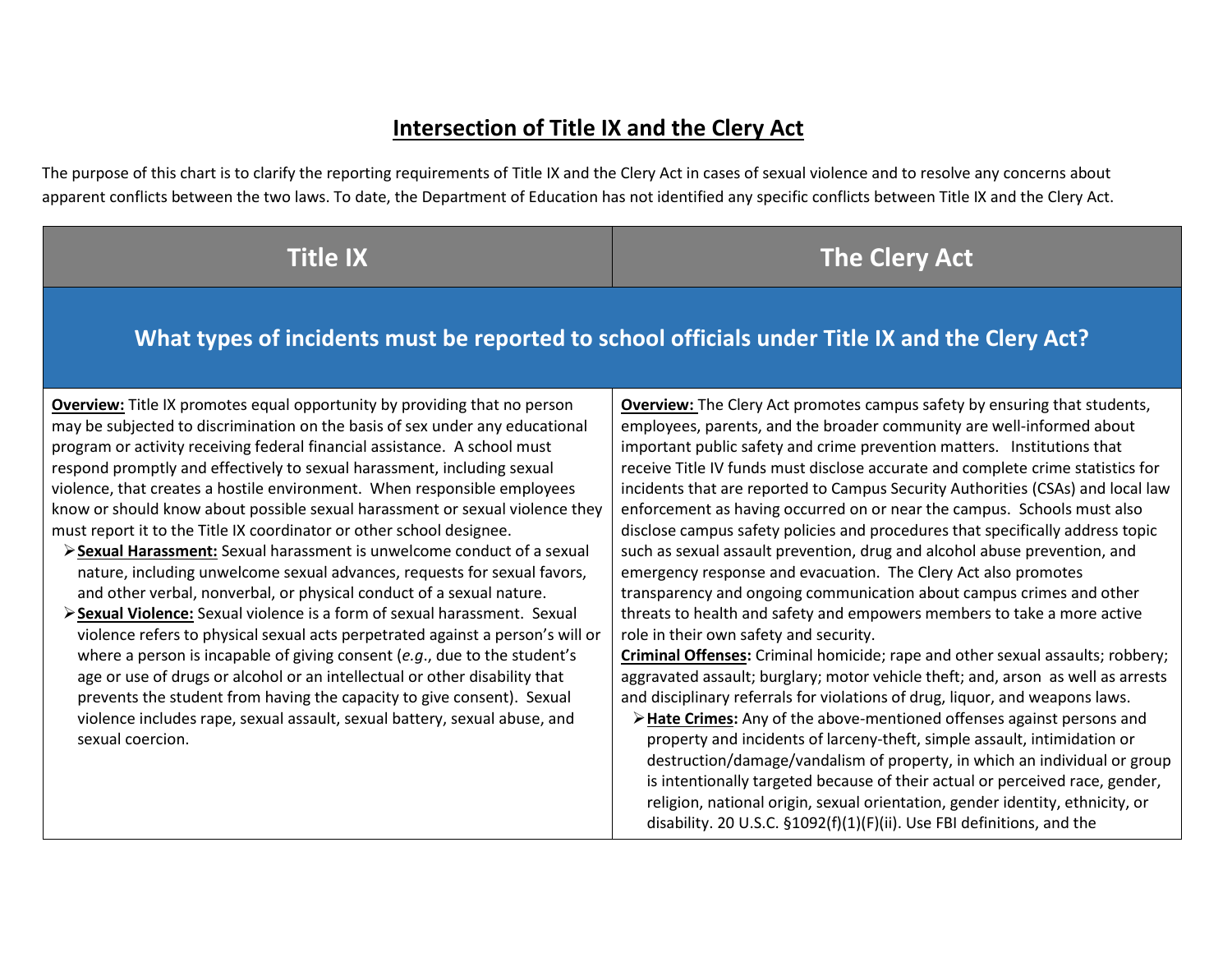## **Intersection of Title IX and the Clery Act**

The purpose of this chart is to clarify the reporting requirements of Title IX and the Clery Act in cases of sexual violence and to resolve any concerns about apparent conflicts between the two laws. To date, the Department of Education has not identified any specific conflicts between Title IX and the Clery Act.

## **The Clery Act**

### **What types of incidents must be reported to school officials under Title IX and the Clery Act?**

**Overview:** Title IX promotes equal opportunity by providing that no person may be subjected to discrimination on the basis of sex under any educational program or activity receiving federal financial assistance. A school must respond promptly and effectively to sexual harassment, including sexual violence, that creates a hostile environment. When responsible employees know or should know about possible sexual harassment or sexual violence they must report it to the Title IX coordinator or other school designee.

- **Sexual Harassment:** Sexual harassment is unwelcome conduct of a sexual nature, including unwelcome sexual advances, requests for sexual favors, and other verbal, nonverbal, or physical conduct of a sexual nature.
- **Sexual Violence:** Sexual violence is a form of sexual harassment. Sexual violence refers to physical sexual acts perpetrated against a person's will or where a person is incapable of giving consent (*e.g*., due to the student's age or use of drugs or alcohol or an intellectual or other disability that prevents the student from having the capacity to give consent). Sexual violence includes rape, sexual assault, sexual battery, sexual abuse, and sexual coercion.

**Overview:** The Clery Act promotes campus safety by ensuring that students, employees, parents, and the broader community are well-informed about important public safety and crime prevention matters. Institutions that receive Title IV funds must disclose accurate and complete crime statistics for incidents that are reported to Campus Security Authorities (CSAs) and local law enforcement as having occurred on or near the campus. Schools must also disclose campus safety policies and procedures that specifically address topic such as sexual assault prevention, drug and alcohol abuse prevention, and emergency response and evacuation. The Clery Act also promotes transparency and ongoing communication about campus crimes and other threats to health and safety and empowers members to take a more active role in their own safety and security.

**Criminal Offenses:** Criminal homicide; rape and other sexual assaults; robbery; aggravated assault; burglary; motor vehicle theft; and, arson as well as arrests and disciplinary referrals for violations of drug, liquor, and weapons laws.

**Hate Crimes:** Any of the above-mentioned offenses against persons and property and incidents of larceny-theft, simple assault, intimidation or destruction/damage/vandalism of property, in which an individual or group is intentionally targeted because of their actual or perceived race, gender, religion, national origin, sexual orientation, gender identity, ethnicity, or disability. 20 U.S.C. §1092(f)(1)(F)(ii). Use FBI definitions, and the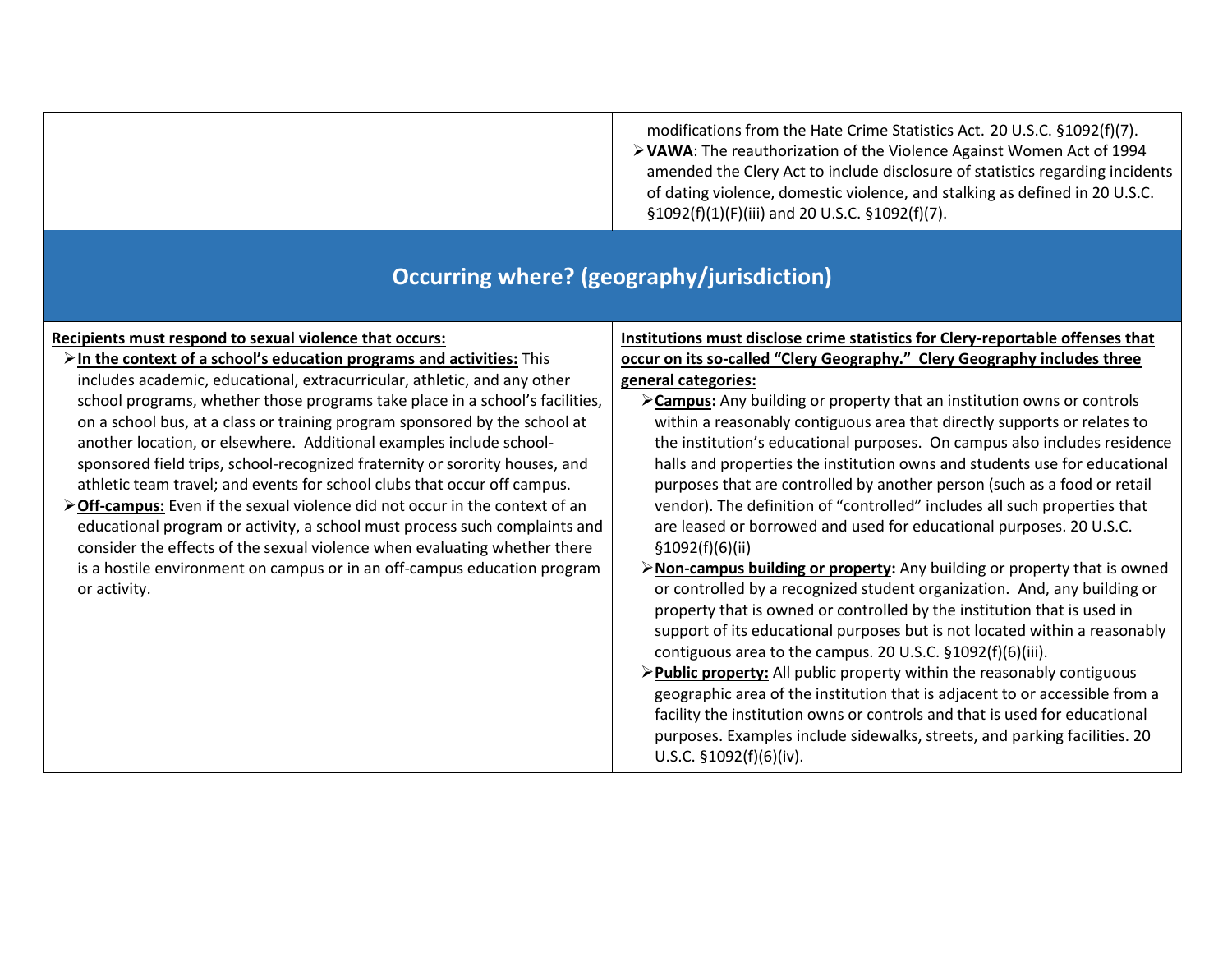| modifications from the Hate Crime Statistics Act. 20 U.S.C. §1092(f)(7).      |
|-------------------------------------------------------------------------------|
| > VAWA: The reauthorization of the Violence Against Women Act of 1994         |
| amended the Clery Act to include disclosure of statistics regarding incidents |
| of dating violence, domestic violence, and stalking as defined in 20 U.S.C.   |
| $$1092(f)(1)(F)(iii)$ and 20 U.S.C. $$1092(f)(7)$ .                           |

### **Occurring where? (geography/jurisdiction)**

### **Recipients must respond to sexual violence that occurs:**

- **In the context of a school's education programs and activities:** This includes academic, educational, extracurricular, athletic, and any other school programs, whether those programs take place in a school's facilities, on a school bus, at a class or training program sponsored by the school at another location, or elsewhere. Additional examples include schoolsponsored field trips, school-recognized fraternity or sorority houses, and athletic team travel; and events for school clubs that occur off campus.
- **Off-campus:** Even if the sexual violence did not occur in the context of an educational program or activity, a school must process such complaints and consider the effects of the sexual violence when evaluating whether there is a hostile environment on campus or in an off-campus education program or activity.

### **Institutions must disclose crime statistics for Clery-reportable offenses that occur on its so-called "Clery Geography." Clery Geography includes three general categories:**

- **Campus:** Any building or property that an institution owns or controls within a reasonably contiguous area that directly supports or relates to the institution's educational purposes. On campus also includes residence halls and properties the institution owns and students use for educational purposes that are controlled by another person (such as a food or retail vendor). The definition of "controlled" includes all such properties that are leased or borrowed and used for educational purposes. 20 U.S.C. §1092(f)(6)(ii)
- **Non-campus building or property:** Any building or property that is owned or controlled by a recognized student organization. And, any building or property that is owned or controlled by the institution that is used in support of its educational purposes but is not located within a reasonably contiguous area to the campus. 20 U.S.C. §1092(f)(6)(iii).
- **Public property:** All public property within the reasonably contiguous geographic area of the institution that is adjacent to or accessible from a facility the institution owns or controls and that is used for educational purposes. Examples include sidewalks, streets, and parking facilities. 20 U.S.C. §1092(f)(6)(iv).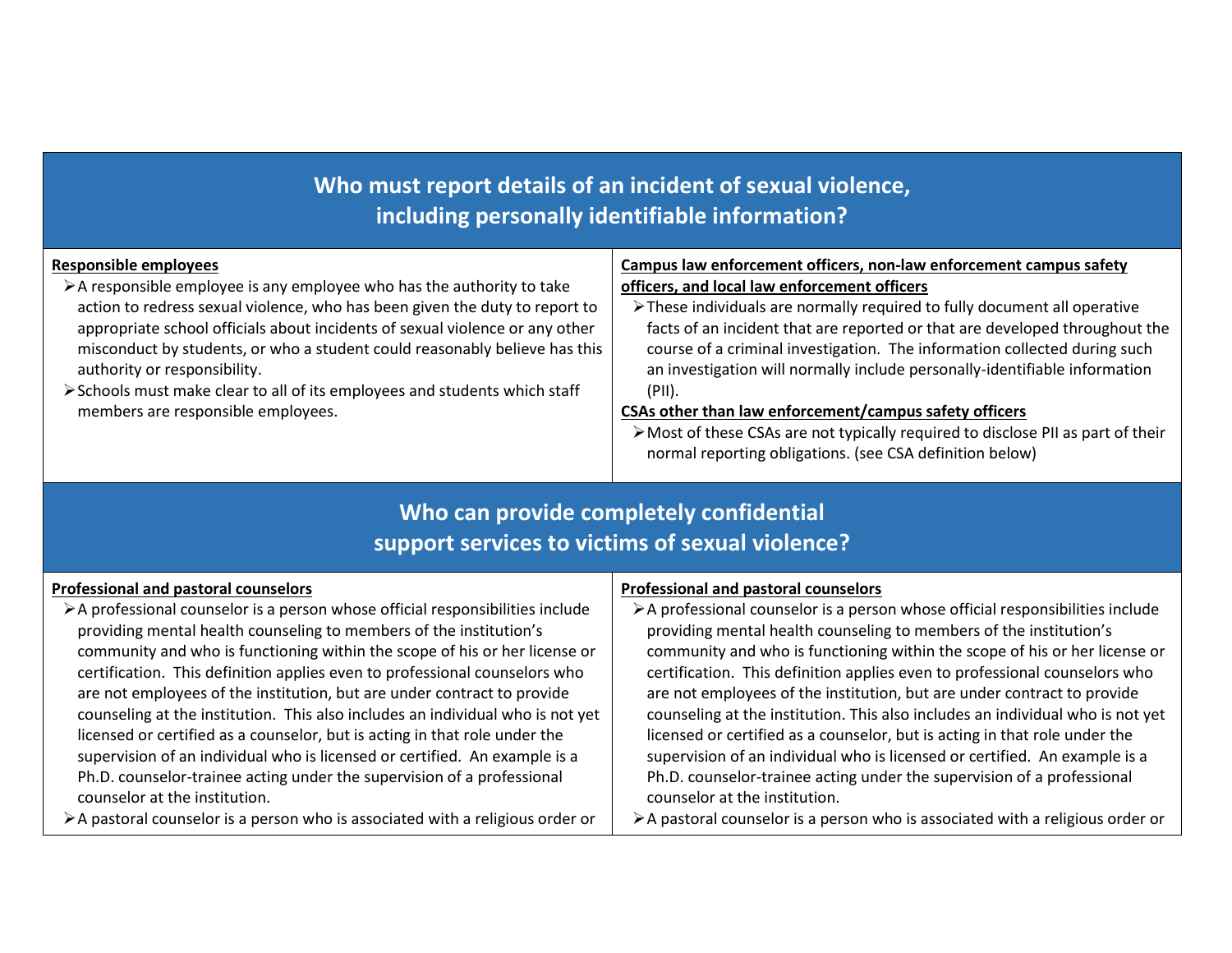# **Who must report details of an incident of sexual violence, including personally identifiable information?**

| <b>Responsible employees</b>                                                          | Campus law enforcement officers, non-law enforcement campus safety              |
|---------------------------------------------------------------------------------------|---------------------------------------------------------------------------------|
| $\triangleright$ A responsible employee is any employee who has the authority to take | officers, and local law enforcement officers                                    |
| action to redress sexual violence, who has been given the duty to report to           | > These individuals are normally required to fully document all operative       |
| appropriate school officials about incidents of sexual violence or any other          | facts of an incident that are reported or that are developed throughout the     |
| misconduct by students, or who a student could reasonably believe has this            | course of a criminal investigation. The information collected during such       |
| authority or responsibility.                                                          | an investigation will normally include personally-identifiable information      |
| > Schools must make clear to all of its employees and students which staff            | (PII).                                                                          |
| members are responsible employees.                                                    | CSAs other than law enforcement/campus safety officers                          |
|                                                                                       | >Most of these CSAs are not typically required to disclose PII as part of their |
|                                                                                       | normal reporting obligations. (see CSA definition below)                        |

## **Who can provide completely confidential support services to victims of sexual violence?**

| Professional and pastoral counselors                                                                                                                                                                                                                                                                                                                                                                                                                                                                                                                                                                                                                                                                                                                | Professional and pastoral counselors                                                                                                                                                                                                                                                                                                                                                                                                                                                                                                                                                                                                                                                                                                                |
|-----------------------------------------------------------------------------------------------------------------------------------------------------------------------------------------------------------------------------------------------------------------------------------------------------------------------------------------------------------------------------------------------------------------------------------------------------------------------------------------------------------------------------------------------------------------------------------------------------------------------------------------------------------------------------------------------------------------------------------------------------|-----------------------------------------------------------------------------------------------------------------------------------------------------------------------------------------------------------------------------------------------------------------------------------------------------------------------------------------------------------------------------------------------------------------------------------------------------------------------------------------------------------------------------------------------------------------------------------------------------------------------------------------------------------------------------------------------------------------------------------------------------|
| >A professional counselor is a person whose official responsibilities include<br>providing mental health counseling to members of the institution's<br>community and who is functioning within the scope of his or her license or<br>certification. This definition applies even to professional counselors who<br>are not employees of the institution, but are under contract to provide<br>counseling at the institution. This also includes an individual who is not yet<br>licensed or certified as a counselor, but is acting in that role under the<br>supervision of an individual who is licensed or certified. An example is a<br>Ph.D. counselor-trainee acting under the supervision of a professional<br>counselor at the institution. | >A professional counselor is a person whose official responsibilities include<br>providing mental health counseling to members of the institution's<br>community and who is functioning within the scope of his or her license or<br>certification. This definition applies even to professional counselors who<br>are not employees of the institution, but are under contract to provide<br>counseling at the institution. This also includes an individual who is not yet<br>licensed or certified as a counselor, but is acting in that role under the<br>supervision of an individual who is licensed or certified. An example is a<br>Ph.D. counselor-trainee acting under the supervision of a professional<br>counselor at the institution. |
| >A pastoral counselor is a person who is associated with a religious order or                                                                                                                                                                                                                                                                                                                                                                                                                                                                                                                                                                                                                                                                       | >A pastoral counselor is a person who is associated with a religious order or                                                                                                                                                                                                                                                                                                                                                                                                                                                                                                                                                                                                                                                                       |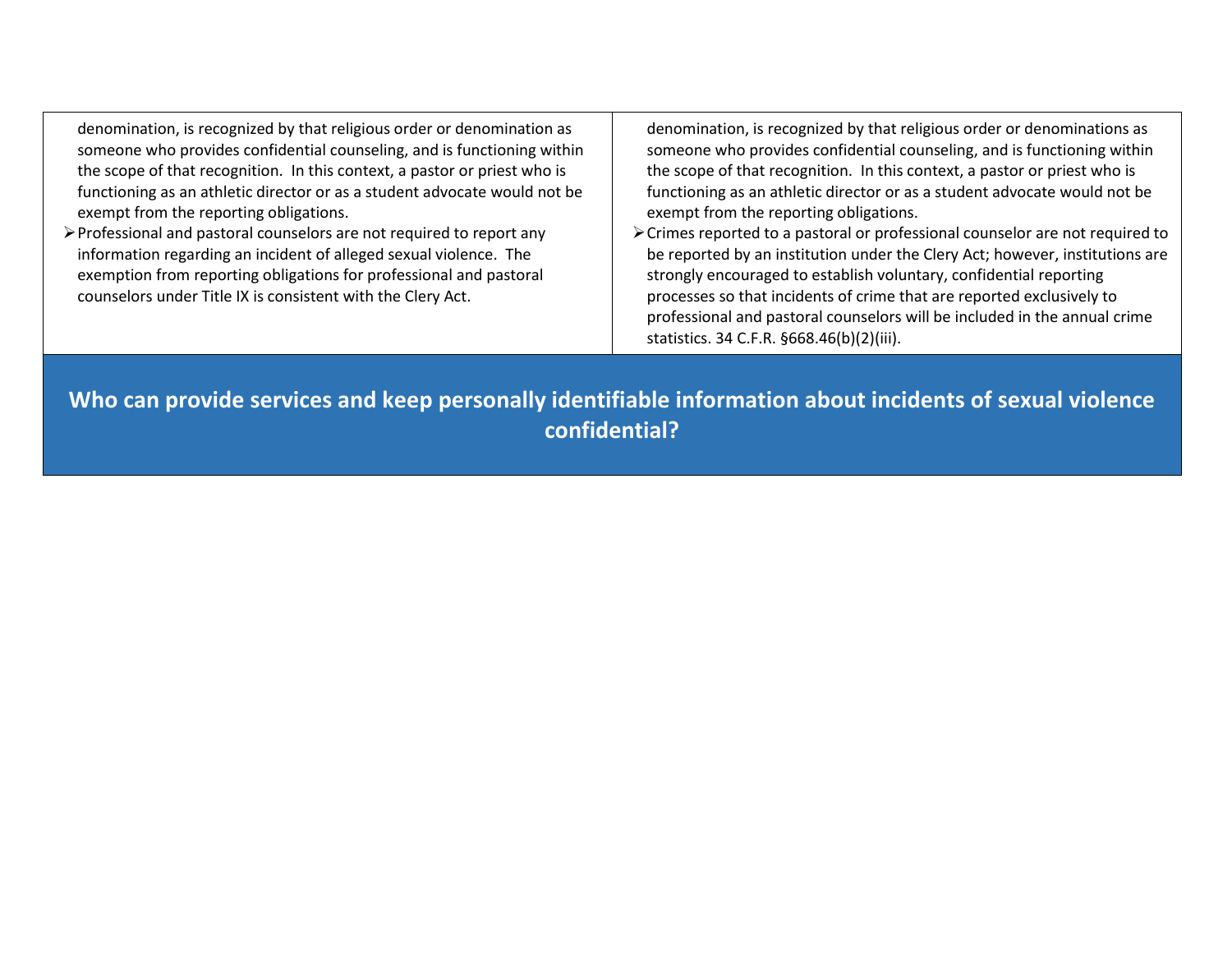denomination, is recognized by that religious order or denomination as someone who provides confidential counseling, and is functioning within the scope of that recognition. In this context, a pastor or priest who is functioning as an athletic director or as a student advocate would not be exempt from the reporting obligations. denomination, is recognized by that religious order or denominations as someone who provides confidential counseling, and is functioning within

Professional and pastoral counselors are not required to report any information regarding an incident of alleged sexual violence. The exemption from reporting obligations for professional and pastoral counselors under Title IX is consistent with the Clery Act.

the scope of that recognition. In this context, a pastor or priest who is functioning as an athletic director or as a student advocate would not be exempt from the reporting obligations. Crimes reported to a pastoral or professional counselor are not required to be reported by an institution under the Clery Act; however, institutions are strongly encouraged to establish voluntary, confidential reporting processes so that incidents of crime that are reported exclusively to

professional and pastoral counselors will be included in the annual crime

statistics. 34 C.F.R. §668.46(b)(2)(iii).

**Who can provide services and keep personally identifiable information about incidents of sexual violence confidential?**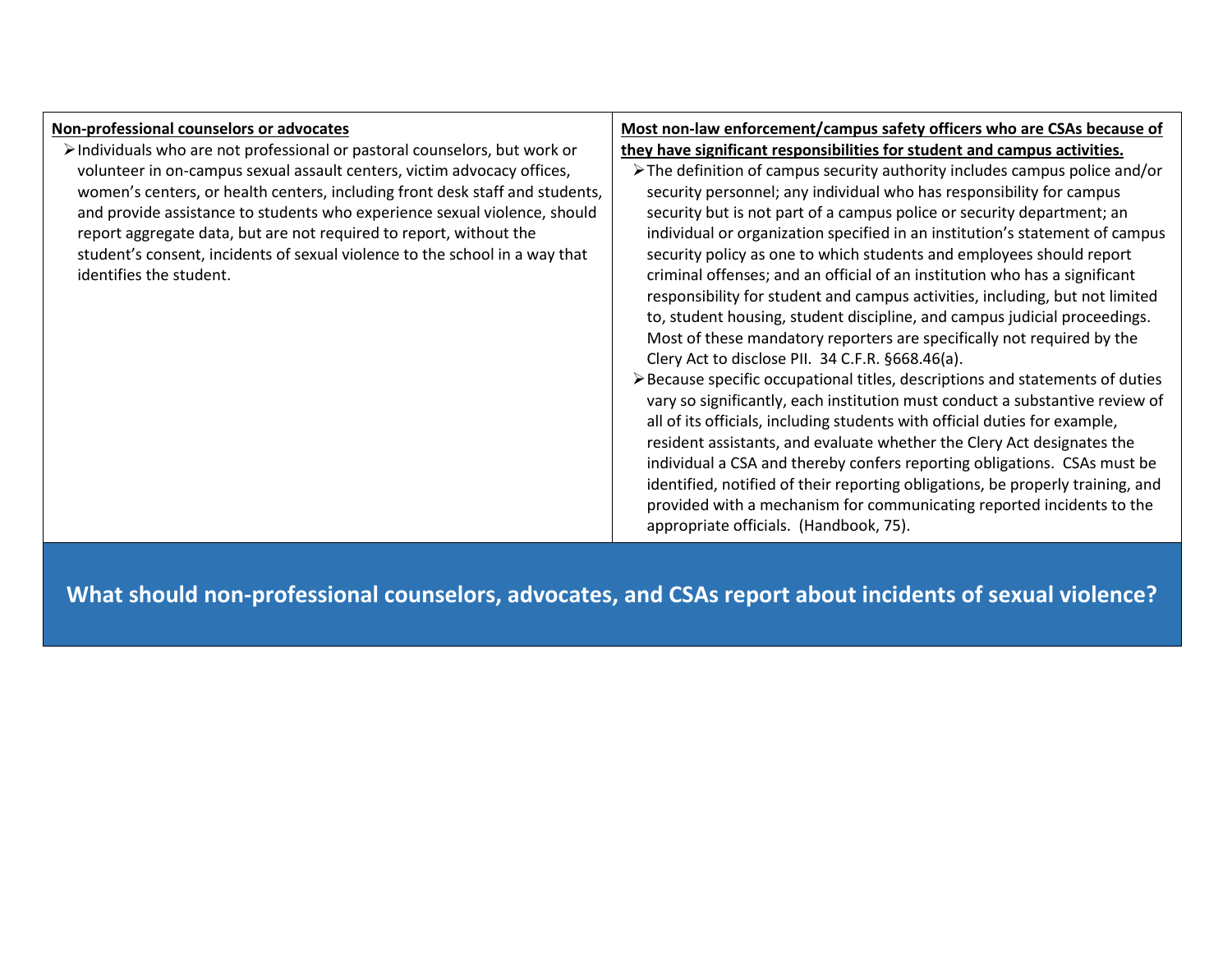| Non-professional counselors or advocates                                                  | Most non-law enforcement/campus safety officers who are CSAs because of                      |
|-------------------------------------------------------------------------------------------|----------------------------------------------------------------------------------------------|
| $\triangleright$ Individuals who are not professional or pastoral counselors, but work or | they have significant responsibilities for student and campus activities.                    |
| volunteer in on-campus sexual assault centers, victim advocacy offices,                   | $\triangleright$ The definition of campus security authority includes campus police and/or   |
| women's centers, or health centers, including front desk staff and students,              | security personnel; any individual who has responsibility for campus                         |
| and provide assistance to students who experience sexual violence, should                 | security but is not part of a campus police or security department; an                       |
| report aggregate data, but are not required to report, without the                        | individual or organization specified in an institution's statement of campus                 |
| student's consent, incidents of sexual violence to the school in a way that               | security policy as one to which students and employees should report                         |
| identifies the student.                                                                   | criminal offenses; and an official of an institution who has a significant                   |
|                                                                                           | responsibility for student and campus activities, including, but not limited                 |
|                                                                                           | to, student housing, student discipline, and campus judicial proceedings.                    |
|                                                                                           | Most of these mandatory reporters are specifically not required by the                       |
|                                                                                           | Clery Act to disclose PII. 34 C.F.R. §668.46(a).                                             |
|                                                                                           | $\triangleright$ Because specific occupational titles, descriptions and statements of duties |
|                                                                                           | vary so significantly, each institution must conduct a substantive review of                 |
|                                                                                           | all of its officials, including students with official duties for example,                   |
|                                                                                           | resident assistants, and evaluate whether the Clery Act designates the                       |
|                                                                                           | individual a CSA and thereby confers reporting obligations. CSAs must be                     |
|                                                                                           | identified, notified of their reporting obligations, be properly training, and               |
|                                                                                           | provided with a mechanism for communicating reported incidents to the                        |
|                                                                                           | appropriate officials. (Handbook, 75).                                                       |

**What should non-professional counselors, advocates, and CSAs report about incidents of sexual violence?**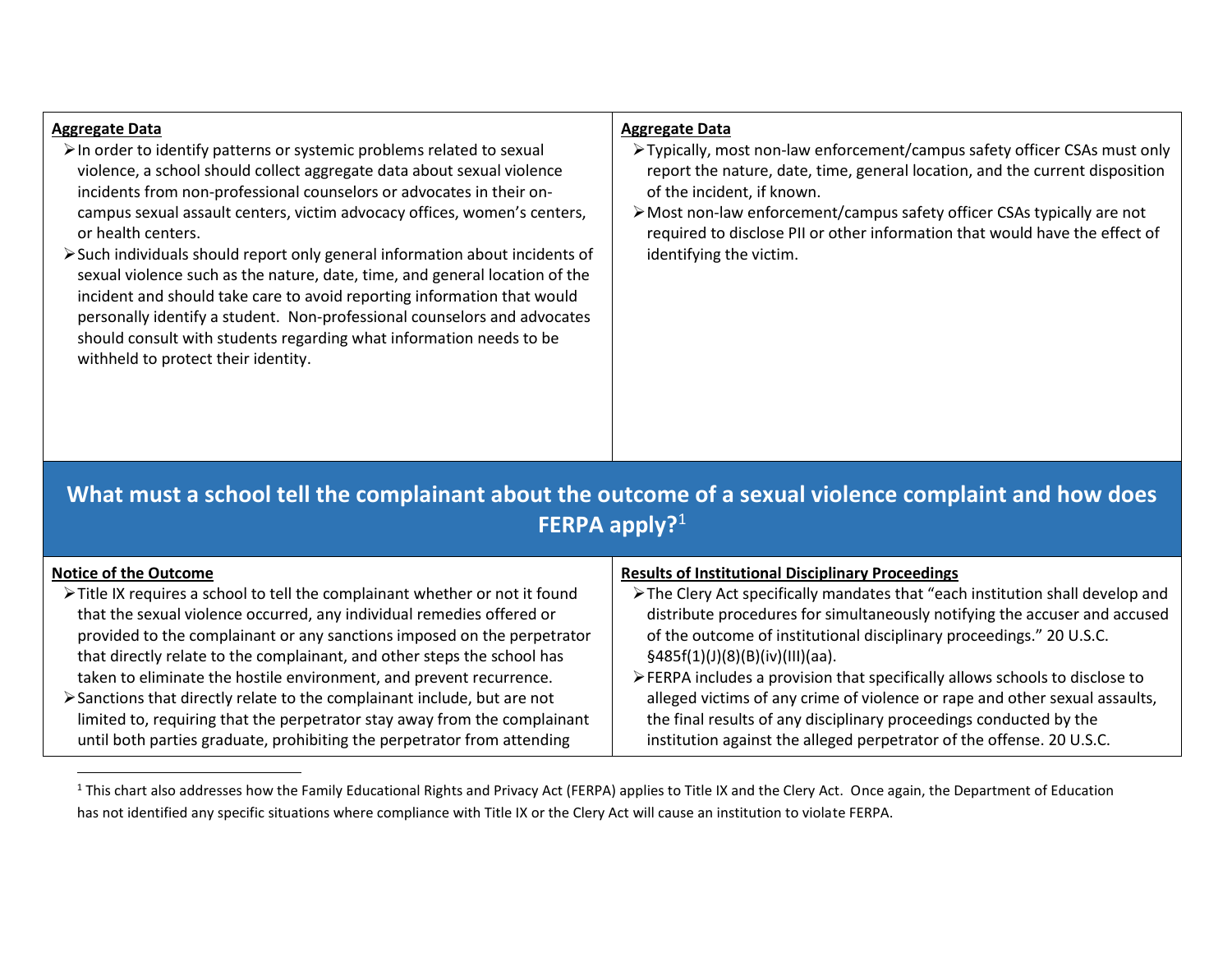#### **Aggregate Data**

 $\overline{\phantom{a}}$ 

- $\triangleright$  In order to identify patterns or systemic problems related to sexual violence, a school should collect aggregate data about sexual violence incidents from non-professional counselors or advocates in their oncampus sexual assault centers, victim advocacy offices, women's centers, or health centers.
- Such individuals should report only general information about incidents of sexual violence such as the nature, date, time, and general location of the incident and should take care to avoid reporting information that would personally identify a student. Non-professional counselors and advocates should consult with students regarding what information needs to be withheld to protect their identity.

#### **Aggregate Data**

- Typically, most non-law enforcement/campus safety officer CSAs must only report the nature, date, time, general location, and the current disposition of the incident, if known.
- Most non-law enforcement/campus safety officer CSAs typically are not required to disclose PII or other information that would have the effect of identifying the victim.

## **What must a school tell the complainant about the outcome of a sexual violence complaint and how does FERPA apply?**<sup>1</sup>

| <b>Notice of the Outcome</b>                                                 | <b>Results of Institutional Disciplinary Proceedings</b>                       |
|------------------------------------------------------------------------------|--------------------------------------------------------------------------------|
| > Title IX requires a school to tell the complainant whether or not it found | > The Clery Act specifically mandates that "each institution shall develop and |
| that the sexual violence occurred, any individual remedies offered or        | distribute procedures for simultaneously notifying the accuser and accused     |
| provided to the complainant or any sanctions imposed on the perpetrator      | of the outcome of institutional disciplinary proceedings." 20 U.S.C.           |
| that directly relate to the complainant, and other steps the school has      | §485f(1)(J)(8)(B)(iv)(III)(aa).                                                |
| taken to eliminate the hostile environment, and prevent recurrence.          | > FERPA includes a provision that specifically allows schools to disclose to   |
| > Sanctions that directly relate to the complainant include, but are not     | alleged victims of any crime of violence or rape and other sexual assaults,    |
| limited to, requiring that the perpetrator stay away from the complainant    | the final results of any disciplinary proceedings conducted by the             |
| until both parties graduate, prohibiting the perpetrator from attending      | institution against the alleged perpetrator of the offense. 20 U.S.C.          |

<sup>1</sup> This chart also addresses how the Family Educational Rights and Privacy Act (FERPA) applies to Title IX and the Clery Act. Once again, the Department of Education has not identified any specific situations where compliance with Title IX or the Clery Act will cause an institution to violate FERPA.